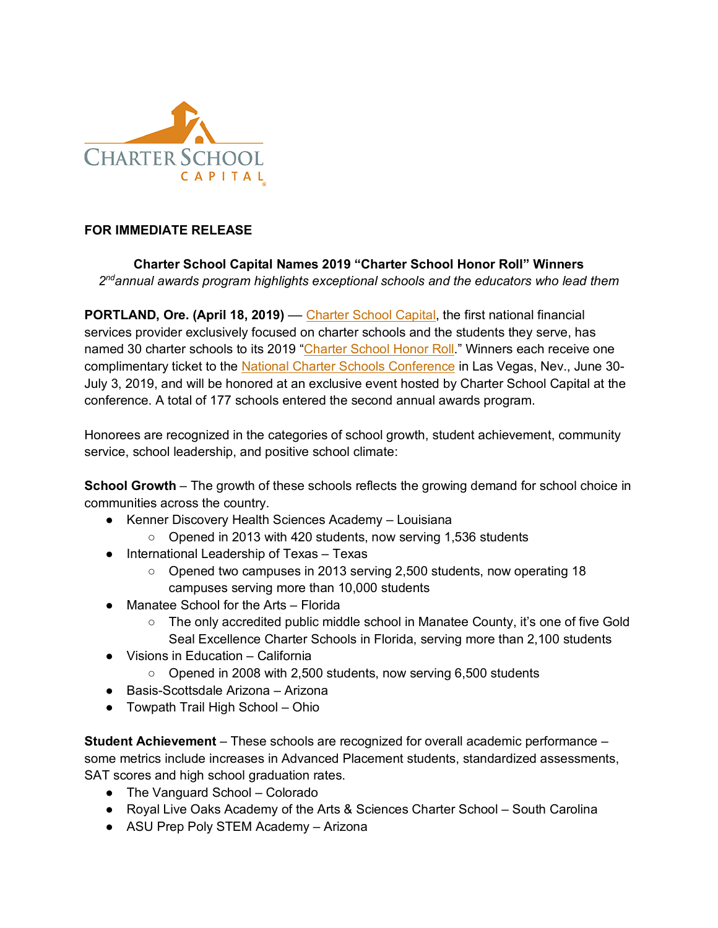

### **FOR IMMEDIATE RELEASE**

## **Charter School Capital Names 2019 "Charter School Honor Roll" Winners** *2ndannual awards program highlights exceptional schools and the educators who lead them*

**PORTLAND, Ore. (April 18, 2019) — Charter School Capital, the first national financial** services provider exclusively focused on charter schools and the students they serve, has named 30 charter schools to its 2019 "Charter School Honor Roll." Winners each receive one complimentary ticket to the National Charter Schools Conference in Las Vegas, Nev., June 30-July 3, 2019, and will be honored at an exclusive event hosted by Charter School Capital at the conference. A total of 177 schools entered the second annual awards program.

Honorees are recognized in the categories of school growth, student achievement, community service, school leadership, and positive school climate:

**School Growth** – The growth of these schools reflects the growing demand for school choice in communities across the country.

- Kenner Discovery Health Sciences Academy Louisiana
	- Opened in 2013 with 420 students, now serving 1,536 students
- International Leadership of Texas Texas
	- Opened two campuses in 2013 serving 2,500 students, now operating 18 campuses serving more than 10,000 students
- Manatee School for the Arts Florida
	- The only accredited public middle school in Manatee County, it's one of five Gold Seal Excellence Charter Schools in Florida, serving more than 2,100 students
- Visions in Education California
	- Opened in 2008 with 2,500 students, now serving 6,500 students
- Basis-Scottsdale Arizona Arizona
- Towpath Trail High School Ohio

**Student Achievement** – These schools are recognized for overall academic performance – some metrics include increases in Advanced Placement students, standardized assessments, SAT scores and high school graduation rates.

- The Vanguard School Colorado
- Royal Live Oaks Academy of the Arts & Sciences Charter School South Carolina
- ASU Prep Poly STEM Academy Arizona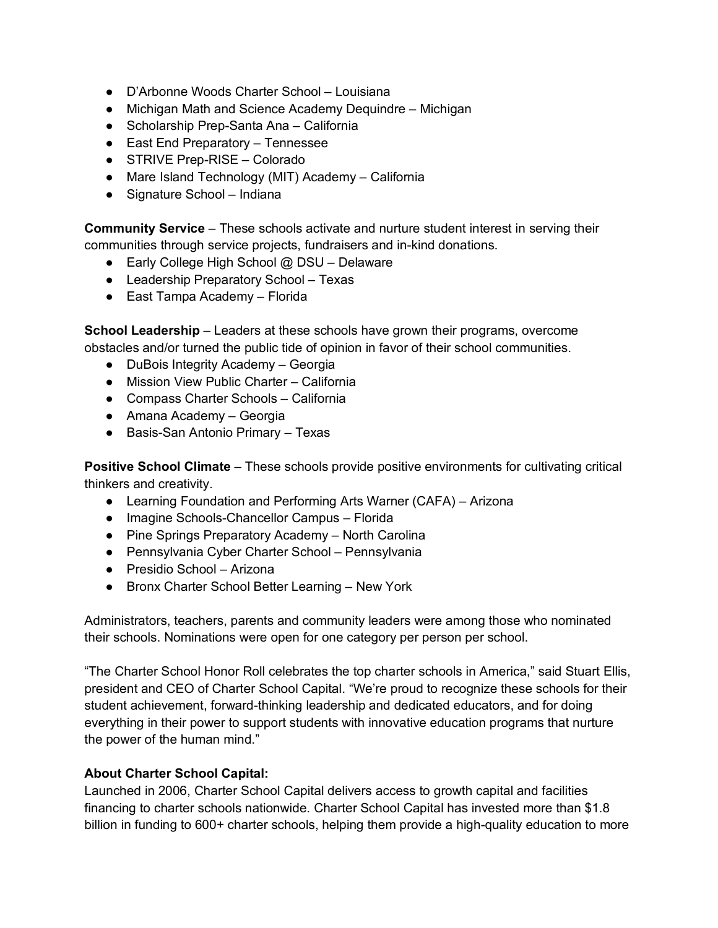- D'Arbonne Woods Charter School Louisiana
- Michigan Math and Science Academy Dequindre Michigan
- Scholarship Prep-Santa Ana California
- East End Preparatory Tennessee
- STRIVE Prep-RISE Colorado
- Mare Island Technology (MIT) Academy California
- Signature School Indiana

**Community Service** – These schools activate and nurture student interest in serving their communities through service projects, fundraisers and in-kind donations.

- Early College High School @ DSU Delaware
- Leadership Preparatory School Texas
- East Tampa Academy Florida

**School Leadership** – Leaders at these schools have grown their programs, overcome obstacles and/or turned the public tide of opinion in favor of their school communities.

- DuBois Integrity Academy Georgia
- Mission View Public Charter California
- Compass Charter Schools California
- Amana Academy Georgia
- Basis-San Antonio Primary Texas

**Positive School Climate** – These schools provide positive environments for cultivating critical thinkers and creativity.

- Learning Foundation and Performing Arts Warner (CAFA) Arizona
- Imagine Schools-Chancellor Campus Florida
- Pine Springs Preparatory Academy North Carolina
- Pennsylvania Cyber Charter School Pennsylvania
- Presidio School Arizona
- Bronx Charter School Better Learning New York

Administrators, teachers, parents and community leaders were among those who nominated their schools. Nominations were open for one category per person per school.

"The Charter School Honor Roll celebrates the top charter schools in America," said Stuart Ellis, president and CEO of Charter School Capital. "We're proud to recognize these schools for their student achievement, forward-thinking leadership and dedicated educators, and for doing everything in their power to support students with innovative education programs that nurture the power of the human mind."

#### **About Charter School Capital:**

Launched in 2006, Charter School Capital delivers access to growth capital and facilities financing to charter schools nationwide. Charter School Capital has invested more than \$1.8 billion in funding to 600+ charter schools, helping them provide a high-quality education to more